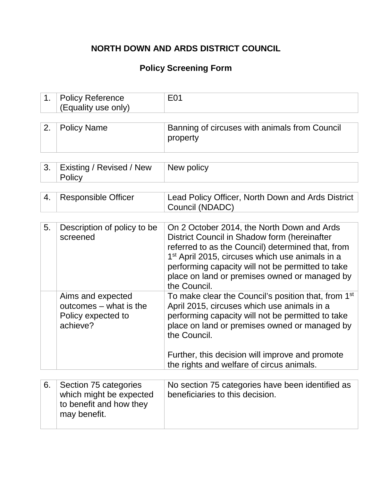### **NORTH DOWN AND ARDS DISTRICT COUNCIL**

### **Policy Screening Form**

| 1. | <b>Policy Reference</b><br>(Equality use only)                                              | E <sub>0</sub> 1                                                                                                                                                                                                                                                                                                                     |
|----|---------------------------------------------------------------------------------------------|--------------------------------------------------------------------------------------------------------------------------------------------------------------------------------------------------------------------------------------------------------------------------------------------------------------------------------------|
|    |                                                                                             |                                                                                                                                                                                                                                                                                                                                      |
| 2. | <b>Policy Name</b>                                                                          | Banning of circuses with animals from Council<br>property                                                                                                                                                                                                                                                                            |
|    |                                                                                             |                                                                                                                                                                                                                                                                                                                                      |
| 3. | Existing / Revised / New<br>Policy                                                          | New policy                                                                                                                                                                                                                                                                                                                           |
|    |                                                                                             |                                                                                                                                                                                                                                                                                                                                      |
| 4. | <b>Responsible Officer</b>                                                                  | Lead Policy Officer, North Down and Ards District<br>Council (NDADC)                                                                                                                                                                                                                                                                 |
|    |                                                                                             |                                                                                                                                                                                                                                                                                                                                      |
| 5. | Description of policy to be<br>screened                                                     | On 2 October 2014, the North Down and Ards<br>District Council in Shadow form (hereinafter<br>referred to as the Council) determined that, from<br>1 <sup>st</sup> April 2015, circuses which use animals in a<br>performing capacity will not be permitted to take<br>place on land or premises owned or managed by<br>the Council. |
|    | Aims and expected<br>outcomes – what is the<br>Policy expected to<br>achieve?               | To make clear the Council's position that, from 1 <sup>st</sup><br>April 2015, circuses which use animals in a<br>performing capacity will not be permitted to take<br>place on land or premises owned or managed by<br>the Council.<br>Further, this decision will improve and promote<br>the rights and welfare of circus animals. |
|    |                                                                                             |                                                                                                                                                                                                                                                                                                                                      |
| 6. | Section 75 categories<br>which might be expected<br>to benefit and how they<br>may benefit. | No section 75 categories have been identified as<br>beneficiaries to this decision.                                                                                                                                                                                                                                                  |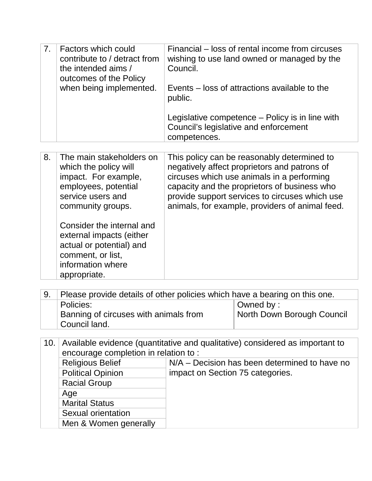| 7. | Factors which could<br>contribute to / detract from<br>the intended aims /<br>outcomes of the Policy | Financial – loss of rental income from circuses<br>wishing to use land owned or managed by the<br>Council. |  |
|----|------------------------------------------------------------------------------------------------------|------------------------------------------------------------------------------------------------------------|--|
|    | when being implemented.                                                                              | Events – loss of attractions available to the<br>public.                                                   |  |
|    |                                                                                                      | Legislative competence – Policy is in line with<br>Council's legislative and enforcement<br>competences.   |  |

| 8. | The main stakeholders on<br>which the policy will<br>impact. For example,<br>employees, potential<br>service users and<br>community groups. | This policy can be reasonably determined to<br>negatively affect proprietors and patrons of<br>circuses which use animals in a performing<br>capacity and the proprietors of business who<br>provide support services to circuses which use<br>animals, for example, providers of animal feed. |
|----|---------------------------------------------------------------------------------------------------------------------------------------------|------------------------------------------------------------------------------------------------------------------------------------------------------------------------------------------------------------------------------------------------------------------------------------------------|
|    | Consider the internal and<br>external impacts (either<br>actual or potential) and<br>comment, or list,<br>information where<br>appropriate. |                                                                                                                                                                                                                                                                                                |

| Please provide details of other policies which have a bearing on this one. |                                          |  |
|----------------------------------------------------------------------------|------------------------------------------|--|
| Policies:<br>Banning of circuses with animals from<br>Council land.        | Owned by :<br>North Down Borough Council |  |

| 10. | Available evidence (quantitative and qualitative) considered as important to |                                               |  |
|-----|------------------------------------------------------------------------------|-----------------------------------------------|--|
|     | encourage completion in relation to:                                         |                                               |  |
|     | <b>Religious Belief</b>                                                      | N/A – Decision has been determined to have no |  |
|     | <b>Political Opinion</b>                                                     | impact on Section 75 categories.              |  |
|     | <b>Racial Group</b>                                                          |                                               |  |
|     | Age                                                                          |                                               |  |
|     | <b>Marital Status</b>                                                        |                                               |  |
|     | Sexual orientation                                                           |                                               |  |
|     | Men & Women generally                                                        |                                               |  |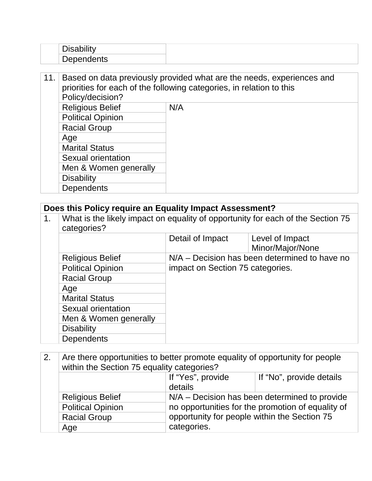| 11. | Based on data previously provided what are the needs, experiences and<br>priorities for each of the following categories, in relation to this<br>Policy/decision? |     |  |
|-----|-------------------------------------------------------------------------------------------------------------------------------------------------------------------|-----|--|
|     | <b>Religious Belief</b>                                                                                                                                           | N/A |  |
|     | <b>Political Opinion</b>                                                                                                                                          |     |  |
|     | <b>Racial Group</b>                                                                                                                                               |     |  |
|     | Age                                                                                                                                                               |     |  |
|     | <b>Marital Status</b>                                                                                                                                             |     |  |
|     | Sexual orientation                                                                                                                                                |     |  |
|     | Men & Women generally                                                                                                                                             |     |  |
|     | <b>Disability</b>                                                                                                                                                 |     |  |
|     | <b>Dependents</b>                                                                                                                                                 |     |  |

# **Does this Policy require an Equality Impact Assessment?**

| 1. | categories?              |                                  | What is the likely impact on equality of opportunity for each of the Section 75 |
|----|--------------------------|----------------------------------|---------------------------------------------------------------------------------|
|    |                          | Detail of Impact                 | Level of Impact<br>Minor/Major/None                                             |
|    | <b>Religious Belief</b>  |                                  | N/A – Decision has been determined to have no                                   |
|    | <b>Political Opinion</b> | impact on Section 75 categories. |                                                                                 |
|    | <b>Racial Group</b>      |                                  |                                                                                 |
|    | Age                      |                                  |                                                                                 |
|    | <b>Marital Status</b>    |                                  |                                                                                 |
|    | Sexual orientation       |                                  |                                                                                 |
|    | Men & Women generally    |                                  |                                                                                 |
|    | <b>Disability</b>        |                                  |                                                                                 |
|    | <b>Dependents</b>        |                                  |                                                                                 |

| 2. | Are there opportunities to better promote equality of opportunity for people<br>within the Section 75 equality categories? |                                                             |                                                   |  |
|----|----------------------------------------------------------------------------------------------------------------------------|-------------------------------------------------------------|---------------------------------------------------|--|
|    |                                                                                                                            | If "Yes", provide<br>If "No", provide details               |                                                   |  |
|    | details                                                                                                                    |                                                             |                                                   |  |
|    | <b>Religious Belief</b>                                                                                                    | N/A – Decision has been determined to provide               |                                                   |  |
|    | <b>Political Opinion</b>                                                                                                   |                                                             | no opportunities for the promotion of equality of |  |
|    | <b>Racial Group</b>                                                                                                        | opportunity for people within the Section 75<br>categories. |                                                   |  |
|    | Age                                                                                                                        |                                                             |                                                   |  |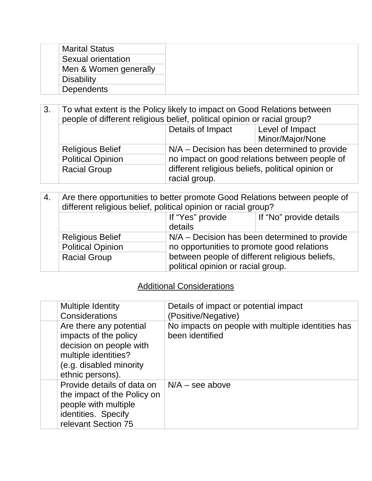| <b>Marital Status</b> |
|-----------------------|
| Sexual orientation    |
| Men & Women generally |
| <b>Disability</b>     |
| <b>Dependents</b>     |

| 3. | To what extent is the Policy likely to impact on Good Relations between<br>people of different religious belief, political opinion or racial group? |                                                                                                                                                                      |                                     |
|----|-----------------------------------------------------------------------------------------------------------------------------------------------------|----------------------------------------------------------------------------------------------------------------------------------------------------------------------|-------------------------------------|
|    |                                                                                                                                                     | Details of Impact                                                                                                                                                    | Level of Impact<br>Minor/Major/None |
|    | <b>Religious Belief</b><br><b>Political Opinion</b><br><b>Racial Group</b>                                                                          | N/A – Decision has been determined to provide<br>no impact on good relations between people of<br>different religious beliefs, political opinion or<br>racial group. |                                     |

| 4. | Are there opportunities to better promote Good Relations between people of<br>different religious belief, political opinion or racial group? |                                                                                                                                               |  |  |
|----|----------------------------------------------------------------------------------------------------------------------------------------------|-----------------------------------------------------------------------------------------------------------------------------------------------|--|--|
|    |                                                                                                                                              | If "Yes" provide<br>If "No" provide details                                                                                                   |  |  |
|    |                                                                                                                                              | details                                                                                                                                       |  |  |
|    | <b>Religious Belief</b>                                                                                                                      | N/A – Decision has been determined to provide<br>no opportunities to promote good relations<br>between people of different religious beliefs, |  |  |
|    | <b>Political Opinion</b>                                                                                                                     |                                                                                                                                               |  |  |
|    | <b>Racial Group</b>                                                                                                                          |                                                                                                                                               |  |  |
|    | political opinion or racial group.                                                                                                           |                                                                                                                                               |  |  |

### **Additional Considerations**

| <b>Multiple Identity</b><br>Considerations                                                                                                         | Details of impact or potential impact<br>(Positive/Negative)         |
|----------------------------------------------------------------------------------------------------------------------------------------------------|----------------------------------------------------------------------|
| Are there any potential<br>impacts of the policy<br>decision on people with<br>multiple identities?<br>(e.g. disabled minority<br>ethnic persons). | No impacts on people with multiple identities has<br>been identified |
| Provide details of data on<br>the impact of the Policy on<br>people with multiple<br>identities. Specify<br>relevant Section 75                    | $N/A$ – see above                                                    |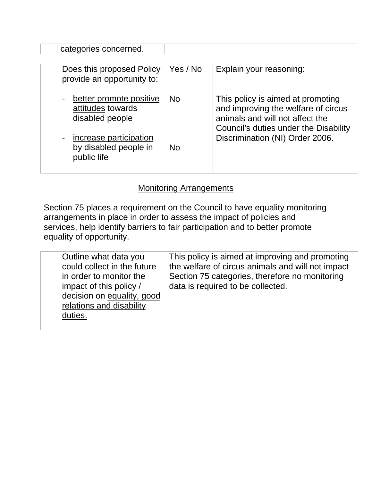| categories concerned.                                                             |                |                                                                                                                                                      |
|-----------------------------------------------------------------------------------|----------------|------------------------------------------------------------------------------------------------------------------------------------------------------|
|                                                                                   |                |                                                                                                                                                      |
| Does this proposed Policy<br>provide an opportunity to:                           | Yes / No       | Explain your reasoning:                                                                                                                              |
| better promote positive<br>$\blacksquare$<br>attitudes towards<br>disabled people | N <sub>o</sub> | This policy is aimed at promoting<br>and improving the welfare of circus<br>animals and will not affect the<br>Council's duties under the Disability |
| increase participation<br>by disabled people in<br>public life                    | <b>No</b>      | Discrimination (NI) Order 2006.                                                                                                                      |

#### Monitoring Arrangements

Section 75 places a requirement on the Council to have equality monitoring arrangements in place in order to assess the impact of policies and services, help identify barriers to fair participation and to better promote equality of opportunity.

| Outline what data you<br>could collect in the future<br>in order to monitor the<br>impact of this policy /<br>decision on equality, good<br>relations and disability<br>duties. | This policy is aimed at improving and promoting<br>the welfare of circus animals and will not impact<br>Section 75 categories, therefore no monitoring<br>data is required to be collected. |
|---------------------------------------------------------------------------------------------------------------------------------------------------------------------------------|---------------------------------------------------------------------------------------------------------------------------------------------------------------------------------------------|
|---------------------------------------------------------------------------------------------------------------------------------------------------------------------------------|---------------------------------------------------------------------------------------------------------------------------------------------------------------------------------------------|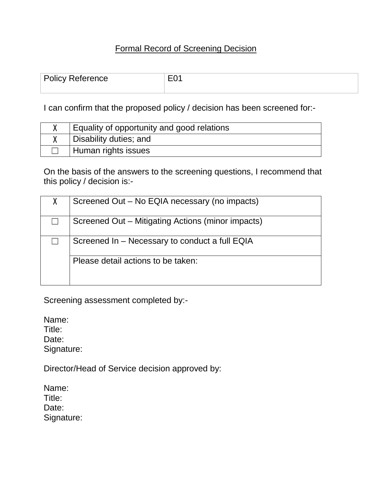### Formal Record of Screening Decision

| <b>Policy Reference</b> |  |
|-------------------------|--|
|                         |  |

I can confirm that the proposed policy / decision has been screened for:-

| Equality of opportunity and good relations |
|--------------------------------------------|
| Disability duties; and                     |
| Human rights issues                        |

On the basis of the answers to the screening questions, I recommend that this policy / decision is:-

| Screened Out - No EQIA necessary (no impacts)     |
|---------------------------------------------------|
| Screened Out – Mitigating Actions (minor impacts) |
| Screened In - Necessary to conduct a full EQIA    |
| Please detail actions to be taken:                |

Screening assessment completed by:-

Name: Title: Date: Signature:

Director/Head of Service decision approved by:

Name: Title: Date: Signature: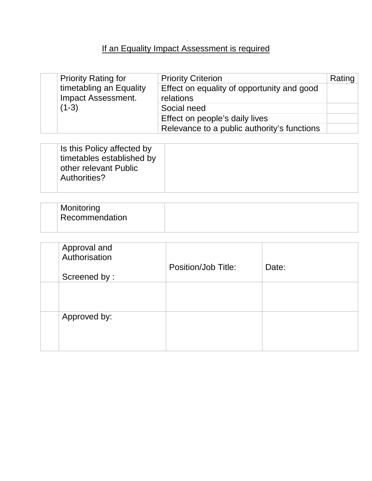## If an Equality Impact Assessment is required

| <b>Priority Rating for</b> | <b>Priority Criterion</b>                   | Rating |
|----------------------------|---------------------------------------------|--------|
| timetabling an Equality    | Effect on equality of opportunity and good  |        |
| <b>Impact Assessment.</b>  | relations                                   |        |
| $(1-3)$                    | Social need                                 |        |
|                            | Effect on people's daily lives              |        |
|                            | Relevance to a public authority's functions |        |

| Is this Policy affected by<br>timetables established by<br>other relevant Public<br>Authorities? |
|--------------------------------------------------------------------------------------------------|
|--------------------------------------------------------------------------------------------------|

| Monitoring<br>Recommendation |  |
|------------------------------|--|
|                              |  |

| Approval and<br>Authorisation<br>Screened by: | Position/Job Title: | Date: |
|-----------------------------------------------|---------------------|-------|
|                                               |                     |       |
| Approved by:                                  |                     |       |